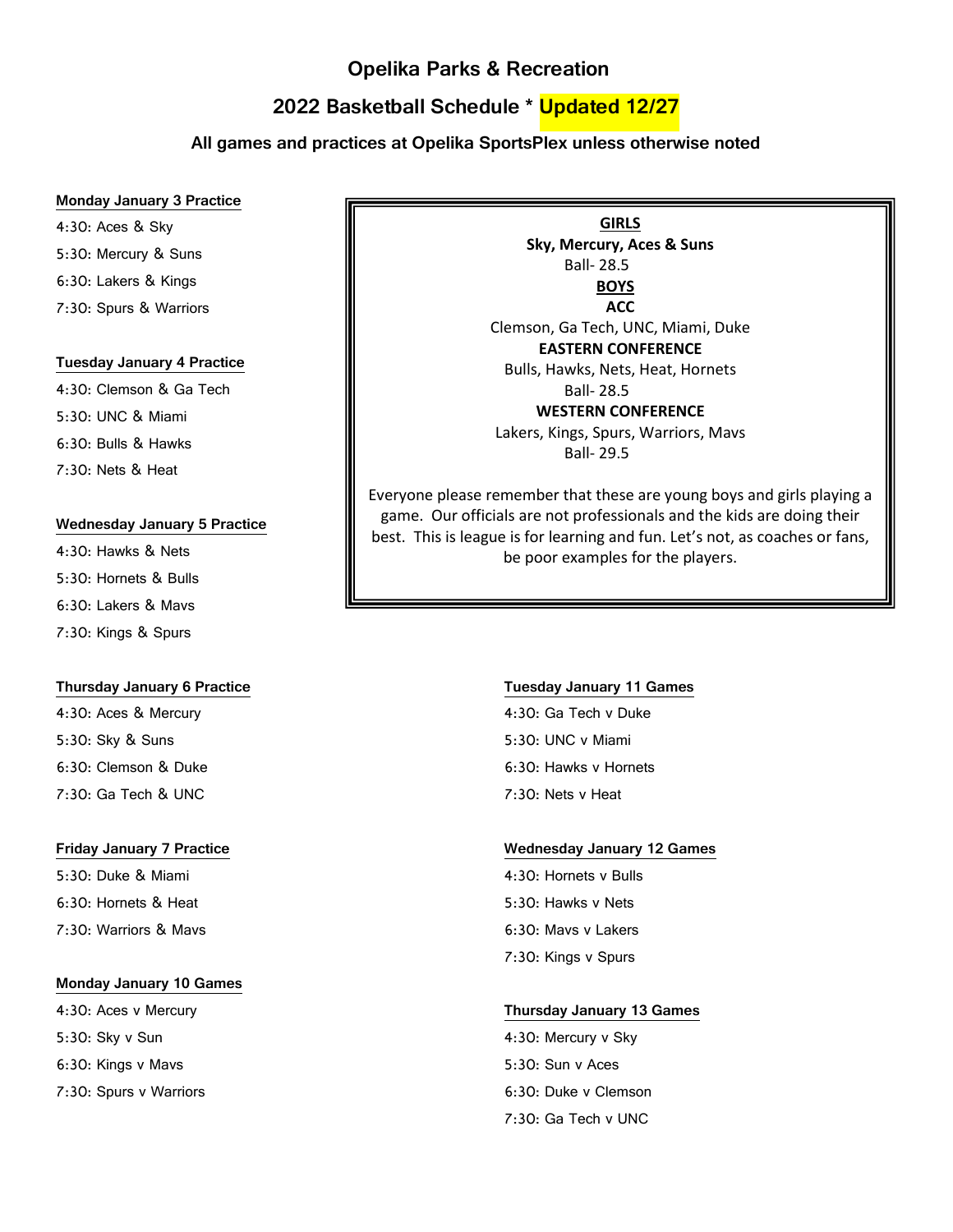# **Opelika Parks & Recreation**

# **2022 Basketball Schedule \* Updated 12/27**

# **All games and practices at Opelika SportsPlex unless otherwise noted**

#### **Monday January 3 Practice**

4:30: Aces & Sky 5:30: Mercury & Suns 6:30: Lakers & Kings

7:30: Spurs & Warriors

#### **Tuesday January 4 Practice**

4:30: Clemson & Ga Tech 5:30: UNC & Miami 6:30: Bulls & Hawks 7:30: Nets & Heat

#### **Wednesday January 5 Practice**

4:30: Hawks & Nets 5:30: Hornets & Bulls 6:30: Lakers & Mavs 7:30: Kings & Spurs

#### **Thursday January 6 Practice**

4:30: Aces & Mercury 5:30: Sky & Suns 6:30: Clemson & Duke 7:30: Ga Tech & UNC

#### **Friday January 7 Practice**

5:30: Duke & Miami 6:30: Hornets & Heat 7:30: Warriors & Mavs

### **Monday January 10 Games**

4:30: Aces v Mercury 5:30: Sky v Sun 6:30: Kings v Mavs 7:30: Spurs v Warriors

**Sky, Mercury, Aces & Suns** Ball- 28.5 **BOYS ACC** Clemson, Ga Tech, UNC, Miami, Duke **EASTERN CONFERENCE** Bulls, Hawks, Nets, Heat, Hornets

**GIRLS**

Ball- 28.5

### **WESTERN CONFERENCE**

Lakers, Kings, Spurs, Warriors, Mavs Ball- 29.5

Everyone please remember that these are young boys and girls playing a game. Our officials are not professionals and the kids are doing their best. This is league is for learning and fun. Let's not, as coaches or fans, be poor examples for the players.

#### **Tuesday January 11 Games**

4:30: Ga Tech v Duke 5:30: UNC v Miami 6:30: Hawks v Hornets 7:30: Nets v Heat

#### **Wednesday January 12 Games**

4:30: Hornets v Bulls 5:30: Hawks v Nets 6:30: Mavs v Lakers 7:30: Kings v Spurs

### **Thursday January 13 Games**

4:30: Mercury v Sky 5:30: Sun v Aces 6:30: Duke v Clemson 7:30: Ga Tech v UNC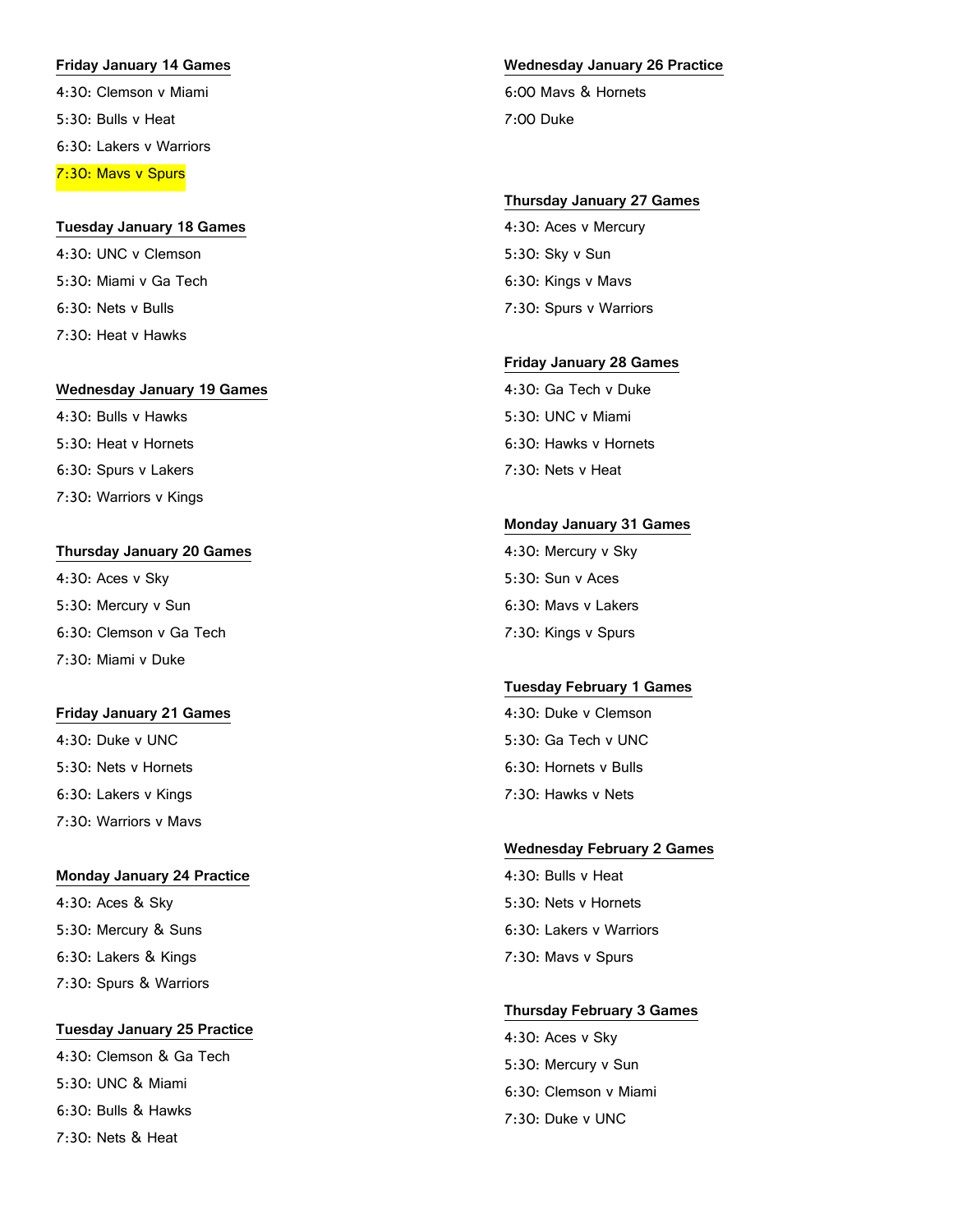# **Friday January 14 Games** 4:30: Clemson v Miami

5:30: Bulls v Heat 6:30: Lakers v Warriors 7:30: Mavs v Spurs

### **Tuesday January 18 Games**

4:30: UNC v Clemson 5:30: Miami v Ga Tech 6:30: Nets v Bulls 7:30: Heat v Hawks

### **Wednesday January 19 Games**

4:30: Bulls v Hawks 5:30: Heat v Hornets 6:30: Spurs v Lakers 7:30: Warriors v Kings

### **Thursday January 20 Games**

4:30: Aces v Sky 5:30: Mercury v Sun 6:30: Clemson v Ga Tech 7:30: Miami v Duke

### **Friday January 21 Games**

4:30: Duke v UNC 5:30: Nets v Hornets 6:30: Lakers v Kings 7:30: Warriors v Mavs

### **Monday January 24 Practice**

4:30: Aces & Sky 5:30: Mercury & Suns 6:30: Lakers & Kings 7:30: Spurs & Warriors

# **Tuesday January 25 Practice** 4:30: Clemson & Ga Tech 5:30: UNC & Miami 6:30: Bulls & Hawks 7:30: Nets & Heat

### **Wednesday January 26 Practice**

6:00 Mavs & Hornets 7:00 Duke

### **Thursday January 27 Games**

4:30: Aces v Mercury 5:30: Sky v Sun 6:30: Kings v Mavs 7:30: Spurs v Warriors

## **Friday January 28 Games**

4:30: Ga Tech v Duke 5:30: UNC v Miami 6:30: Hawks v Hornets 7:30: Nets v Heat

### **Monday January 31 Games**

4:30: Mercury v Sky 5:30: Sun v Aces 6:30: Mavs v Lakers 7:30: Kings v Spurs

## **Tuesday February 1 Games**

4:30: Duke v Clemson 5:30: Ga Tech v UNC 6:30: Hornets v Bulls 7:30: Hawks v Nets

### **Wednesday February 2 Games**

4:30: Bulls v Heat 5:30: Nets v Hornets 6:30: Lakers v Warriors 7:30: Mavs v Spurs

### **Thursday February 3 Games**

4:30: Aces v Sky 5:30: Mercury v Sun 6:30: Clemson v Miami 7:30: Duke v UNC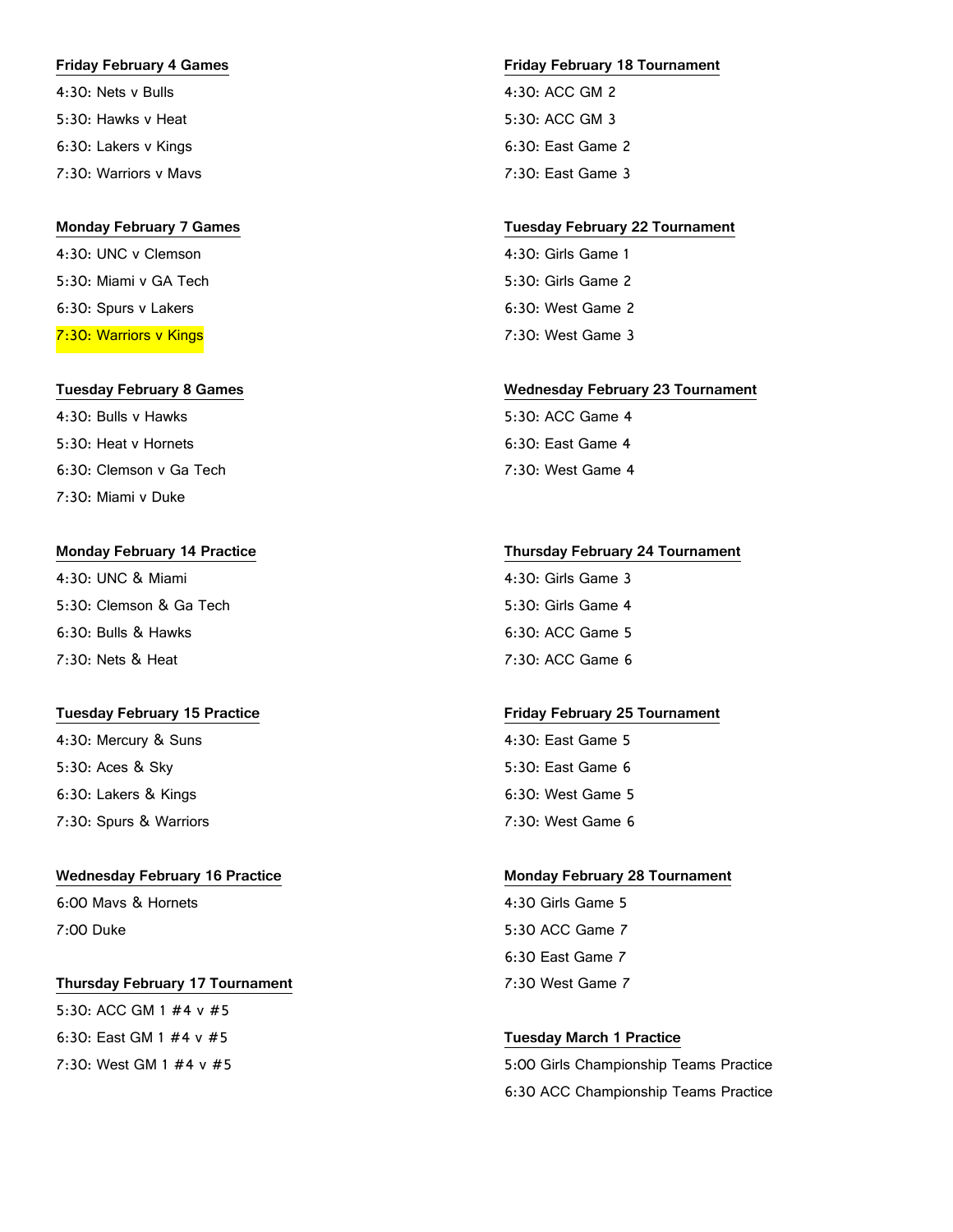#### **Friday February 4 Games**

4:30: Nets v Bulls 5:30: Hawks v Heat 6:30: Lakers v Kings 7:30: Warriors v Mavs

### **Monday February 7 Games**

4:30: UNC v Clemson 5:30: Miami v GA Tech 6:30: Spurs v Lakers 7:30: Warriors v Kings

#### **Tuesday February 8 Games**

4:30: Bulls v Hawks 5:30: Heat v Hornets 6:30: Clemson v Ga Tech 7:30: Miami v Duke

#### **Monday February 14 Practice**

4:30: UNC & Miami 5:30: Clemson & Ga Tech 6:30: Bulls & Hawks 7:30: Nets & Heat

#### **Tuesday February 15 Practice**

4:30: Mercury & Suns 5:30: Aces & Sky 6:30: Lakers & Kings 7:30: Spurs & Warriors

#### **Wednesday February 16 Practice**

6:00 Mavs & Hornets 7:00 Duke

### **Thursday February 17 Tournament**

5:30: ACC GM 1 #4 v #5 6:30: East GM 1 #4 v #5 7:30: West GM 1 #4 v #5

#### **Friday February 18 Tournament**

4:30: ACC GM 2 5:30: ACC GM 3 6:30: East Game 2 7:30: East Game 3

#### **Tuesday February 22 Tournament**

4:30: Girls Game 1 5:30: Girls Game 2 6:30: West Game 2 7:30: West Game 3

#### **Wednesday February 23 Tournament**

5:30: ACC Game 4 6:30: East Game 4 7:30: West Game 4

### **Thursday February 24 Tournament**

4:30: Girls Game 3 5:30: Girls Game 4 6:30: ACC Game 5 7:30: ACC Game 6

#### **Friday February 25 Tournament**

4:30: East Game 5 5:30: East Game 6 6:30: West Game 5 7:30: West Game 6

### **Monday February 28 Tournament**

4:30 Girls Game 5 5:30 ACC Game 7 6:30 East Game 7 7:30 West Game 7

#### **Tuesday March 1 Practice**

5:00 Girls Championship Teams Practice 6:30 ACC Championship Teams Practice